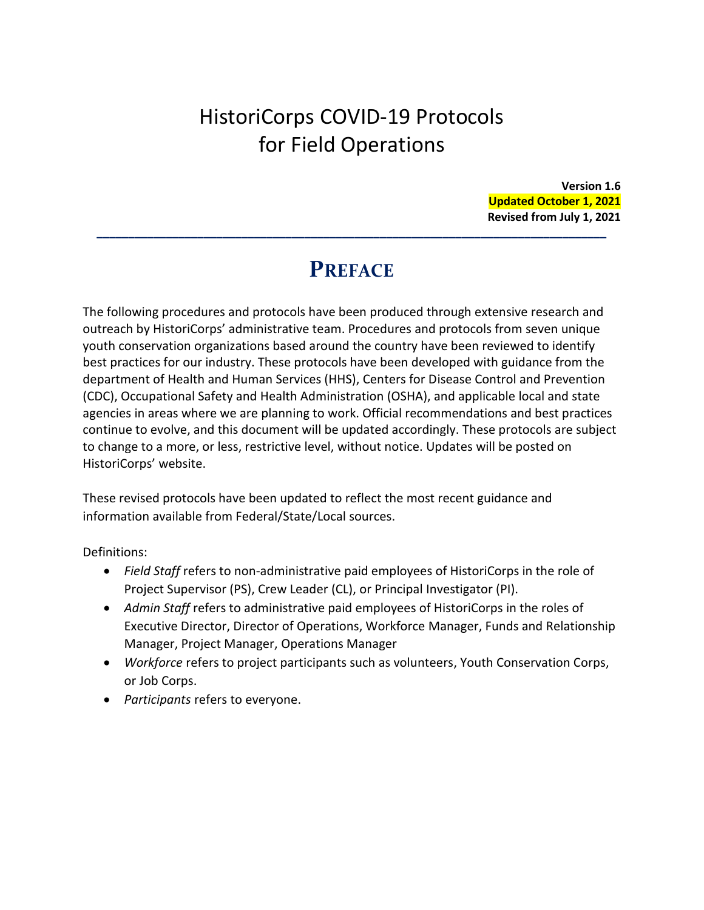# HistoriCorps COVID-19 Protocols for Field Operations

**Version 1.6 Updated October 1, 2021 Revised from July 1, 2021**

# **PREFACE**

**\_\_\_\_\_\_\_\_\_\_\_\_\_\_\_\_\_\_\_\_\_\_\_\_\_\_\_\_\_\_\_\_\_\_\_\_\_\_\_\_\_\_\_\_\_\_\_\_\_\_\_\_\_\_\_\_\_\_\_\_\_\_\_\_\_\_\_\_\_\_\_\_\_\_\_\_\_\_\_\_\_**

The following procedures and protocols have been produced through extensive research and outreach by HistoriCorps' administrative team. Procedures and protocols from seven unique youth conservation organizations based around the country have been reviewed to identify best practices for our industry. These protocols have been developed with guidance from the department of Health and Human Services (HHS), Centers for Disease Control and Prevention (CDC), Occupational Safety and Health Administration (OSHA), and applicable local and state agencies in areas where we are planning to work. Official recommendations and best practices continue to evolve, and this document will be updated accordingly. These protocols are subject to change to a more, or less, restrictive level, without notice. Updates will be posted on HistoriCorps' website.

These revised protocols have been updated to reflect the most recent guidance and information available from Federal/State/Local sources.

Definitions:

- *Field Staff* refers to non-administrative paid employees of HistoriCorps in the role of Project Supervisor (PS), Crew Leader (CL), or Principal Investigator (PI).
- *Admin Staff* refers to administrative paid employees of HistoriCorps in the roles of Executive Director, Director of Operations, Workforce Manager, Funds and Relationship Manager, Project Manager, Operations Manager
- *Workforce* refers to project participants such as volunteers, Youth Conservation Corps, or Job Corps.
- *Participants* refers to everyone.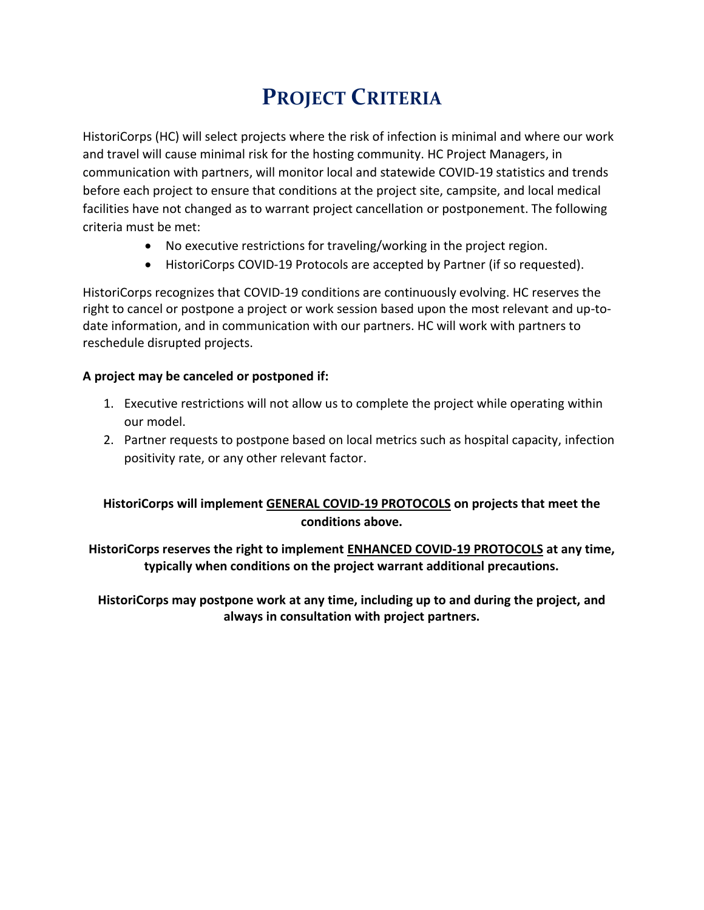# **PROJECT CRITERIA**

HistoriCorps (HC) will select projects where the risk of infection is minimal and where our work and travel will cause minimal risk for the hosting community. HC Project Managers, in communication with partners, will monitor local and statewide COVID-19 statistics and trends before each project to ensure that conditions at the project site, campsite, and local medical facilities have not changed as to warrant project cancellation or postponement. The following criteria must be met:

- No executive restrictions for traveling/working in the project region.
- HistoriCorps COVID-19 Protocols are accepted by Partner (if so requested).

HistoriCorps recognizes that COVID-19 conditions are continuously evolving. HC reserves the right to cancel or postpone a project or work session based upon the most relevant and up-todate information, and in communication with our partners. HC will work with partners to reschedule disrupted projects.

## **A project may be canceled or postponed if:**

- 1. Executive restrictions will not allow us to complete the project while operating within our model.
- 2. Partner requests to postpone based on local metrics such as hospital capacity, infection positivity rate, or any other relevant factor.

# **HistoriCorps will implement GENERAL COVID-19 PROTOCOLS on projects that meet the conditions above.**

**HistoriCorps reserves the right to implement ENHANCED COVID-19 PROTOCOLS at any time, typically when conditions on the project warrant additional precautions.**

**HistoriCorps may postpone work at any time, including up to and during the project, and always in consultation with project partners.**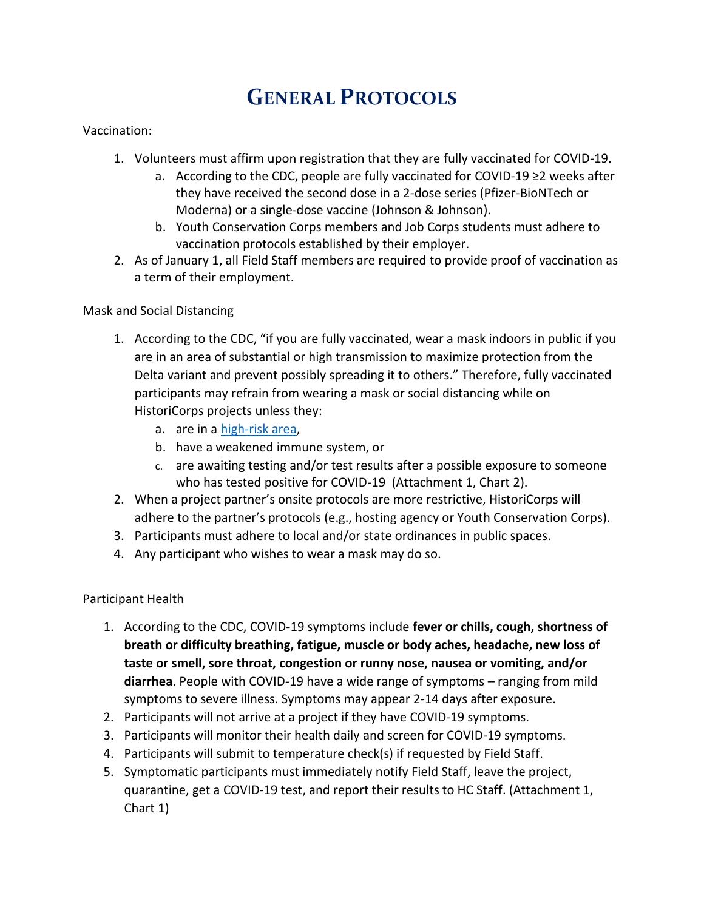# **GENERAL PROTOCOLS**

### Vaccination:

- 1. Volunteers must affirm upon registration that they are fully vaccinated for COVID-19.
	- a. According to the CDC, people are fully vaccinated for COVID-19 ≥2 weeks after they have received the second dose in a 2-dose series (Pfizer-BioNTech or Moderna) or a single-dose vaccine (Johnson & Johnson).
	- b. Youth Conservation Corps members and Job Corps students must adhere to vaccination protocols established by their employer.
- 2. As of January 1, all Field Staff members are required to provide proof of vaccination as a term of their employment.

### Mask and Social Distancing

- 1. According to the CDC, "if you are fully vaccinated, wear a mask indoors in public if you are in an area of substantial or high transmission to maximize protection from the Delta variant and prevent possibly spreading it to others." Therefore, fully vaccinated participants may refrain from wearing a mask or social distancing while on HistoriCorps projects unless they:
	- a. are in a [high-risk area,](file:///C:/Users/helme/Dropbox%20(Historicorps)/HistoriCorps/Operations/Protocols%20COVID/2021%20Revised%20Protocols/covid.cdc.gov/covid-data-tracker/%23county-view)
	- b. have a weakened immune system, or
	- c. are awaiting testing and/or test results after a possible exposure to someone who has tested positive for COVID-19 (Attachment 1, Chart 2).
- 2. When a project partner's onsite protocols are more restrictive, HistoriCorps will adhere to the partner's protocols (e.g., hosting agency or Youth Conservation Corps).
- 3. Participants must adhere to local and/or state ordinances in public spaces.
- 4. Any participant who wishes to wear a mask may do so.

#### Participant Health

- 1. According to the CDC, COVID-19 symptoms include **fever or chills, cough, shortness of breath or difficulty breathing, fatigue, muscle or body aches, headache, new loss of taste or smell, sore throat, congestion or runny nose, nausea or vomiting, and/or diarrhea**. People with COVID-19 have a wide range of symptoms – ranging from mild symptoms to severe illness. Symptoms may appear 2-14 days after exposure.
- 2. Participants will not arrive at a project if they have COVID-19 symptoms.
- 3. Participants will monitor their health daily and screen for COVID-19 symptoms.
- 4. Participants will submit to temperature check(s) if requested by Field Staff.
- 5. Symptomatic participants must immediately notify Field Staff, leave the project, quarantine, get a COVID-19 test, and report their results to HC Staff. (Attachment 1, Chart 1)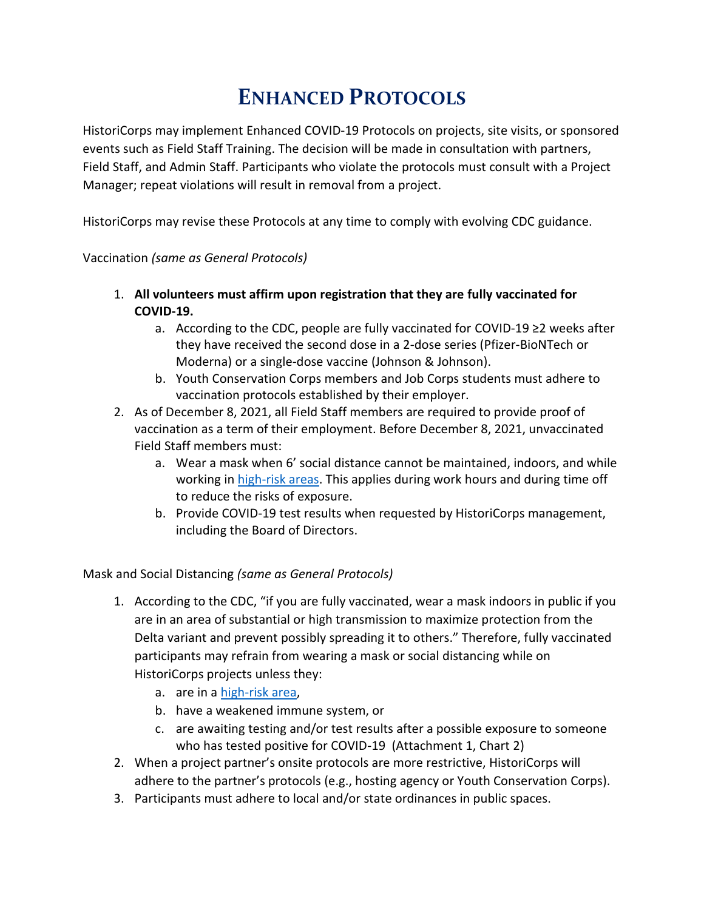# **ENHANCED PROTOCOLS**

HistoriCorps may implement Enhanced COVID-19 Protocols on projects, site visits, or sponsored events such as Field Staff Training. The decision will be made in consultation with partners, Field Staff, and Admin Staff. Participants who violate the protocols must consult with a Project Manager; repeat violations will result in removal from a project.

HistoriCorps may revise these Protocols at any time to comply with evolving CDC guidance.

# Vaccination *(same as General Protocols)*

- 1. **All volunteers must affirm upon registration that they are fully vaccinated for COVID-19.** 
	- a. According to the CDC, people are fully vaccinated for COVID-19 ≥2 weeks after they have received the second dose in a 2-dose series (Pfizer-BioNTech or Moderna) or a single-dose vaccine (Johnson & Johnson).
	- b. Youth Conservation Corps members and Job Corps students must adhere to vaccination protocols established by their employer.
- 2. As of December 8, 2021, all Field Staff members are required to provide proof of vaccination as a term of their employment. Before December 8, 2021, unvaccinated Field Staff members must:
	- a. Wear a mask when 6' social distance cannot be maintained, indoors, and while working i[n high-risk areas.](covid.cdc.gov/covid-data-tracker/#county-view) This applies during work hours and during time off to reduce the risks of exposure.
	- b. Provide COVID-19 test results when requested by HistoriCorps management, including the Board of Directors.

Mask and Social Distancing *(same as General Protocols)*

- 1. According to the CDC, "if you are fully vaccinated, wear a mask indoors in public if you are in an area of substantial or high transmission to maximize protection from the Delta variant and prevent possibly spreading it to others." Therefore, fully vaccinated participants may refrain from wearing a mask or social distancing while on HistoriCorps projects unless they:
	- a. are in a [high-risk area,](file:///C:/Users/helme/Dropbox%20(Historicorps)/HistoriCorps/Operations/Protocols%20COVID/2021%20Revised%20Protocols/covid.cdc.gov/covid-data-tracker/%23county-view)
	- b. have a weakened immune system, or
	- c. are awaiting testing and/or test results after a possible exposure to someone who has tested positive for COVID-19 (Attachment 1, Chart 2)
- 2. When a project partner's onsite protocols are more restrictive, HistoriCorps will adhere to the partner's protocols (e.g., hosting agency or Youth Conservation Corps).
- 3. Participants must adhere to local and/or state ordinances in public spaces.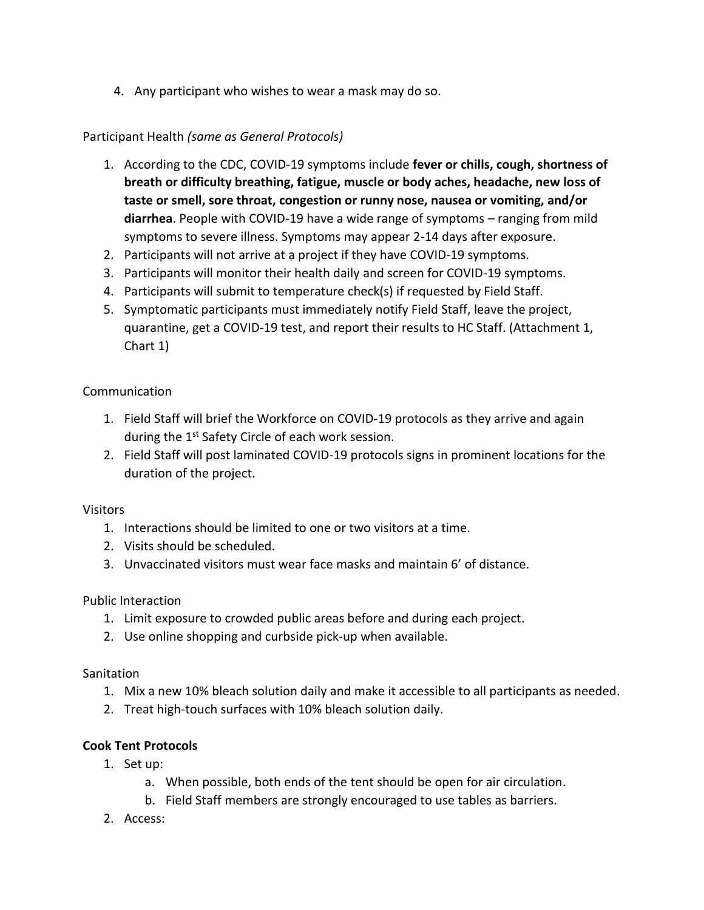4. Any participant who wishes to wear a mask may do so.

# Participant Health *(same as General Protocols)*

- 1. According to the CDC, COVID-19 symptoms include **fever or chills, cough, shortness of breath or difficulty breathing, fatigue, muscle or body aches, headache, new loss of taste or smell, sore throat, congestion or runny nose, nausea or vomiting, and/or diarrhea**. People with COVID-19 have a wide range of symptoms – ranging from mild symptoms to severe illness. Symptoms may appear 2-14 days after exposure.
- 2. Participants will not arrive at a project if they have COVID-19 symptoms.
- 3. Participants will monitor their health daily and screen for COVID-19 symptoms.
- 4. Participants will submit to temperature check(s) if requested by Field Staff.
- 5. Symptomatic participants must immediately notify Field Staff, leave the project, quarantine, get a COVID-19 test, and report their results to HC Staff. (Attachment 1, Chart 1)

## Communication

- 1. Field Staff will brief the Workforce on COVID-19 protocols as they arrive and again during the 1<sup>st</sup> Safety Circle of each work session.
- 2. Field Staff will post laminated COVID-19 protocols signs in prominent locations for the duration of the project.

#### Visitors

- 1. Interactions should be limited to one or two visitors at a time.
- 2. Visits should be scheduled.
- 3. Unvaccinated visitors must wear face masks and maintain 6' of distance.

Public Interaction

- 1. Limit exposure to crowded public areas before and during each project.
- 2. Use online shopping and curbside pick-up when available.

## **Sanitation**

- 1. Mix a new 10% bleach solution daily and make it accessible to all participants as needed.
- 2. Treat high-touch surfaces with 10% bleach solution daily.

## **Cook Tent Protocols**

- 1. Set up:
	- a. When possible, both ends of the tent should be open for air circulation.
	- b. Field Staff members are strongly encouraged to use tables as barriers.
- 2. Access: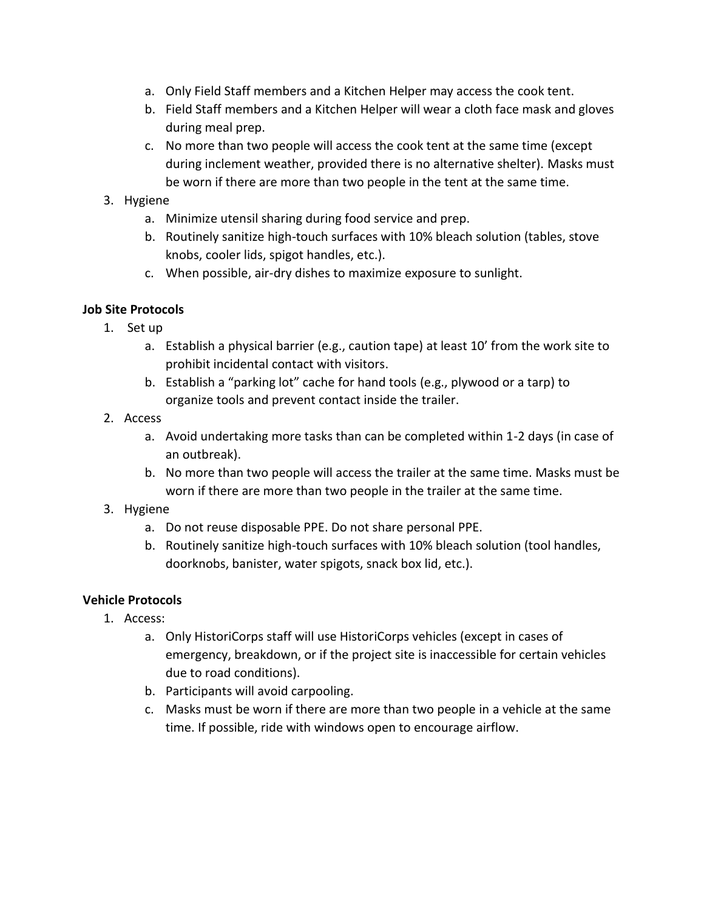- a. Only Field Staff members and a Kitchen Helper may access the cook tent.
- b. Field Staff members and a Kitchen Helper will wear a cloth face mask and gloves during meal prep.
- c. No more than two people will access the cook tent at the same time (except during inclement weather, provided there is no alternative shelter). Masks must be worn if there are more than two people in the tent at the same time.

## 3. Hygiene

- a. Minimize utensil sharing during food service and prep.
- b. Routinely sanitize high-touch surfaces with 10% bleach solution (tables, stove knobs, cooler lids, spigot handles, etc.).
- c. When possible, air-dry dishes to maximize exposure to sunlight.

# **Job Site Protocols**

- 1. Set up
	- a. Establish a physical barrier (e.g., caution tape) at least 10' from the work site to prohibit incidental contact with visitors.
	- b. Establish a "parking lot" cache for hand tools (e.g., plywood or a tarp) to organize tools and prevent contact inside the trailer.
- 2. Access
	- a. Avoid undertaking more tasks than can be completed within 1-2 days (in case of an outbreak).
	- b. No more than two people will access the trailer at the same time. Masks must be worn if there are more than two people in the trailer at the same time.
- 3. Hygiene
	- a. Do not reuse disposable PPE. Do not share personal PPE.
	- b. Routinely sanitize high-touch surfaces with 10% bleach solution (tool handles, doorknobs, banister, water spigots, snack box lid, etc.).

## **Vehicle Protocols**

- 1. Access:
	- a. Only HistoriCorps staff will use HistoriCorps vehicles (except in cases of emergency, breakdown, or if the project site is inaccessible for certain vehicles due to road conditions).
	- b. Participants will avoid carpooling.
	- c. Masks must be worn if there are more than two people in a vehicle at the same time. If possible, ride with windows open to encourage airflow.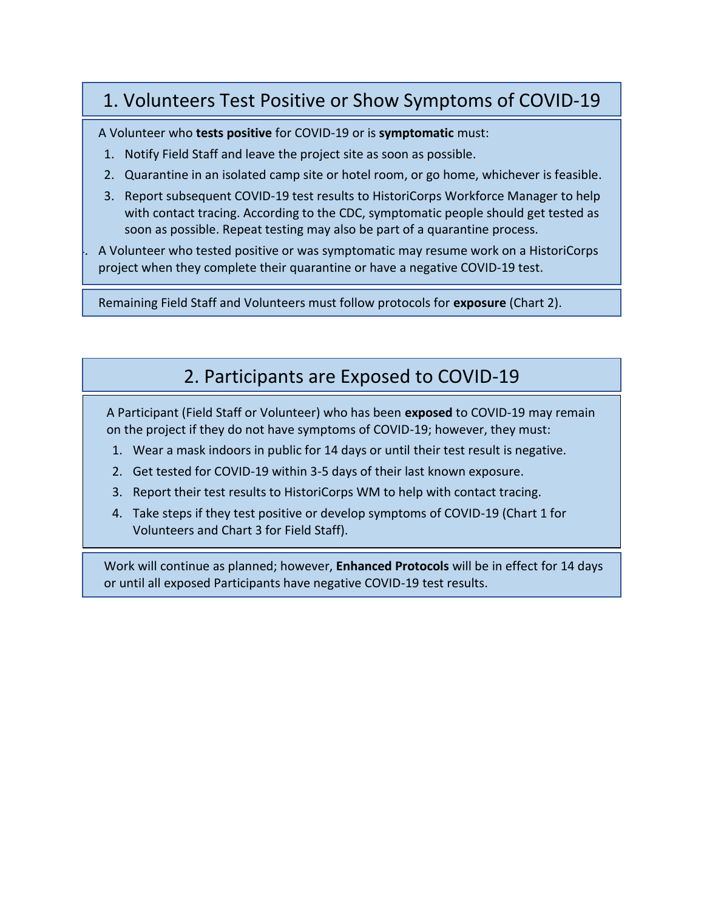# 1. Volunteers Test Positive or Show Symptoms of COVID-19

A Volunteer who **tests positive** for COVID-19 or is **symptomatic** must:

- 1. Notify Field Staff and leave the project site as soon as possible.
- 2. Quarantine in an isolated camp site or hotel room, or go home, whichever is feasible.
- 3. Report subsequent COVID-19 test results to HistoriCorps Workforce Manager to help with contact tracing. According to the CDC, symptomatic people should get tested as soon as possible. Repeat testing may also be part of a quarantine process.

4. A Volunteer who tested positive or was symptomatic may resume work on a HistoriCorps project when they complete their quarantine or have a negative COVID-19 test.

Remaining Field Staff and Volunteers must follow protocols for **exposure** (Chart 2).

# 2. Participants are Exposed to COVID-19

A Participant (Field Staff or Volunteer) who has been **exposed** to COVID-19 may remain on the project if they do not have symptoms of COVID-19; however, they must:

- 1. Wear a mask indoors in public for 14 days or until their test result is negative.
- 2. Get tested for COVID-19 within 3-5 days of their last known exposure.
- 3. Report their test results to HistoriCorps WM to help with contact tracing.
- 4. Take steps if they test positive or develop symptoms of COVID-19 (Chart 1 for Volunteers and Chart 3 for Field Staff).

Work will continue as planned; however, **Enhanced Protocols** will be in effect for 14 days or until all exposed Participants have negative COVID-19 test results.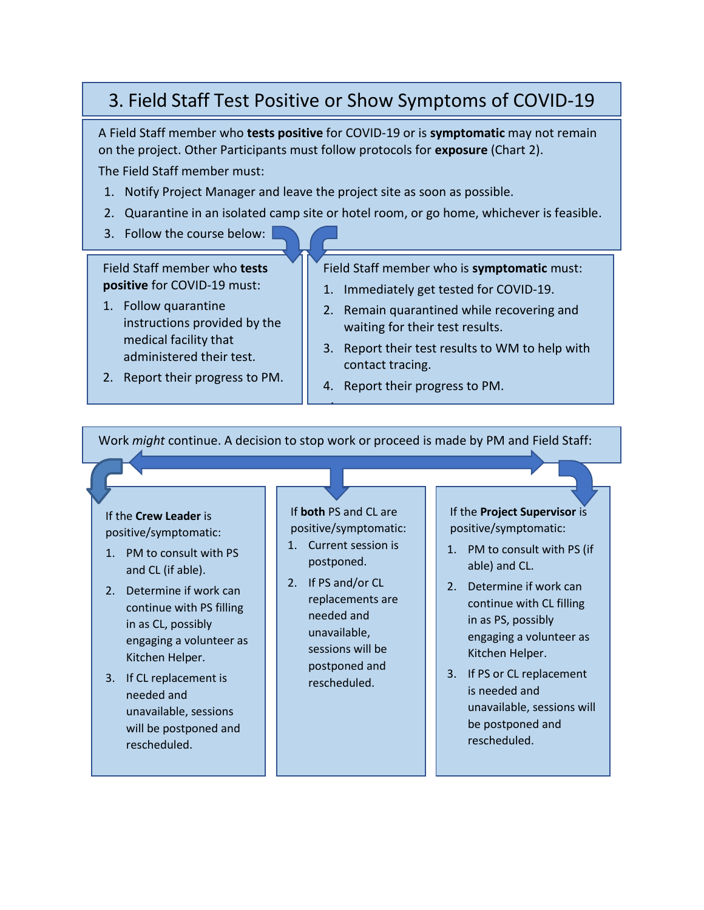# 3. Field Staff Test Positive or Show Symptoms of COVID-19

A Field Staff member who **tests positive** for COVID-19 or is **symptomatic** may not remain on the project. Other Participants must follow protocols for **exposure** (Chart 2).

The Field Staff member must:

- 1. Notify Project Manager and leave the project site as soon as possible.
- 2. Quarantine in an isolated camp site or hotel room, or go home, whichever is feasible.
- 3. Follow the course below:

Field Staff member who **tests positive** for COVID-19 must:

- 1. Follow quarantine instructions provided by the medical facility that administered their test.
- 2. Report their progress to PM.

Field Staff member who is **symptomatic** must:

- 1. Immediately get tested for COVID-19.
- 2. Remain quarantined while recovering and waiting for their test results.
- 3. Report their test results to WM to help with contact tracing.
- 4. Report their progress to PM.

Work *might* continue. A decision to stop work or proceed is made by PM and Field Staff:

1.

#### If the **Crew Leader** is positive/symptomatic:

- 1. PM to consult with PS and CL (if able).
- 2. Determine if work can continue with PS filling in as CL, possibly engaging a volunteer as Kitchen Helper.
- 3. If CL replacement is needed and unavailable, sessions will be postponed and rescheduled.

If **both** PS and CL are positive/symptomatic: 1. Current session is

- postponed.
- 2. If PS and/or CL replacements are needed and unavailable, sessions will be postponed and rescheduled.

If the **Project Supervisor** is positive/symptomatic:

- 1. PM to consult with PS (if able) and CL.
- 2. Determine if work can continue with CL filling in as PS, possibly engaging a volunteer as Kitchen Helper.
- 3. If PS or CL replacement is needed and unavailable, sessions will be postponed and rescheduled.